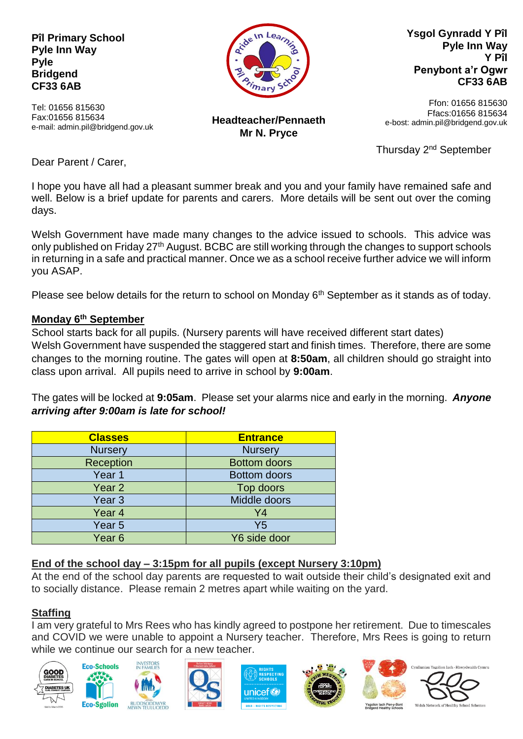**Pîl Primary School Pyle Inn Way Pyle Bridgend CF33 6AB**

Tel: 01656 815630 Fax:01656 815634

**Headteacher/Pennaeth Mr N. Pryce**

**Ysgol Gynradd Y Pîl Pyle Inn Way Y Pîl Penybont a'r Ogwr CF33 6AB**

Ffon: 01656 815630 Ffacs:01656 815634 e-bost: admin.pil@bridgend.gov.uk

Thursday 2<sup>nd</sup> September

Dear Parent / Carer,

e-mail: admin.pil@bridgend.gov.uk

I hope you have all had a pleasant summer break and you and your family have remained safe and well. Below is a brief update for parents and carers. More details will be sent out over the coming days.

Welsh Government have made many changes to the advice issued to schools. This advice was only published on Friday 27<sup>th</sup> August. BCBC are still working through the changes to support schools in returning in a safe and practical manner. Once we as a school receive further advice we will inform you ASAP.

Please see below details for the return to school on Monday 6<sup>th</sup> September as it stands as of today.

## **Monday 6th September**

School starts back for all pupils. (Nursery parents will have received different start dates) Welsh Government have suspended the staggered start and finish times. Therefore, there are some changes to the morning routine. The gates will open at **8:50am**, all children should go straight into class upon arrival. All pupils need to arrive in school by **9:00am**.

The gates will be locked at **9:05am**. Please set your alarms nice and early in the morning. *Anyone arriving after 9:00am is late for school!*

| <b>Classes</b>    | <b>Entrance</b>     |
|-------------------|---------------------|
| <b>Nursery</b>    | <b>Nursery</b>      |
| Reception         | <b>Bottom doors</b> |
| Year 1            | <b>Bottom doors</b> |
| Year <sub>2</sub> | Top doors           |
| Year 3            | Middle doors        |
| Year <sub>4</sub> | Y4                  |
| Year 5            | Y5                  |
| Year <sub>6</sub> | Y6 side door        |

# **End of the school day – 3:15pm for all pupils (except Nursery 3:10pm)**

At the end of the school day parents are requested to wait outside their child's designated exit and to socially distance. Please remain 2 metres apart while waiting on the yard.

# **Staffing**

I am very grateful to Mrs Rees who has kindly agreed to postpone her retirement. Due to timescales and COVID we were unable to appoint a Nursery teacher. Therefore, Mrs Rees is going to return while we continue our search for a new teacher.